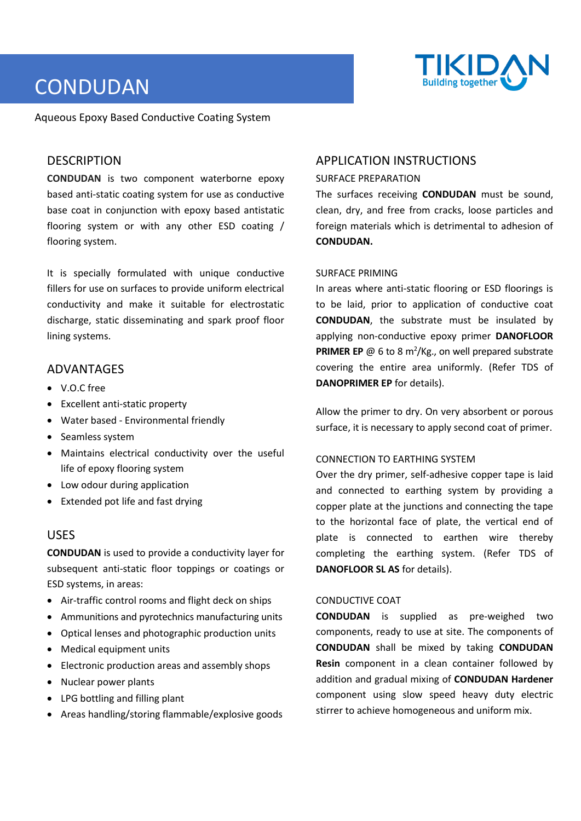

# **CONDUDAN**

Aqueous Epoxy Based Conductive Coating System

## **DESCRIPTION**

**CONDUDAN** is two component waterborne epoxy based anti-static coating system for use as conductive base coat in conjunction with epoxy based antistatic flooring system or with any other ESD coating / flooring system.

It is specially formulated with unique conductive fillers for use on surfaces to provide uniform electrical conductivity and make it suitable for electrostatic discharge, static disseminating and spark proof floor lining systems.

## ADVANTAGES

- V.O.C free
- Excellent anti-static property
- Water based Environmental friendly
- Seamless system
- Maintains electrical conductivity over the useful life of epoxy flooring system
- Low odour during application
- Extended pot life and fast drying

# USES

**CONDUDAN** is used to provide a conductivity layer for subsequent anti-static floor toppings or coatings or ESD systems, in areas:

- Air-traffic control rooms and flight deck on ships
- Ammunitions and pyrotechnics manufacturing units
- Optical lenses and photographic production units
- Medical equipment units
- Electronic production areas and assembly shops
- Nuclear power plants
- LPG bottling and filling plant
- Areas handling/storing flammable/explosive goods

# APPLICATION INSTRUCTIONS

#### SURFACE PREPARATION

The surfaces receiving **CONDUDAN** must be sound, clean, dry, and free from cracks, loose particles and foreign materials which is detrimental to adhesion of **CONDUDAN.**

#### SURFACE PRIMING

In areas where anti-static flooring or ESD floorings is to be laid, prior to application of conductive coat **CONDUDAN**, the substrate must be insulated by applying non-conductive epoxy primer **DANOFLOOR PRIMER EP**  $@$  6 to 8 m<sup>2</sup>/Kg., on well prepared substrate covering the entire area uniformly. (Refer TDS of **DANOPRIMER EP** for details).

Allow the primer to dry. On very absorbent or porous surface, it is necessary to apply second coat of primer.

#### CONNECTION TO EARTHING SYSTEM

Over the dry primer, self-adhesive copper tape is laid and connected to earthing system by providing a copper plate at the junctions and connecting the tape to the horizontal face of plate, the vertical end of plate is connected to earthen wire thereby completing the earthing system. (Refer TDS of **DANOFLOOR SL AS** for details).

#### CONDUCTIVE COAT

**CONDUDAN** is supplied as pre-weighed two components, ready to use at site. The components of **CONDUDAN** shall be mixed by taking **CONDUDAN Resin** component in a clean container followed by addition and gradual mixing of **CONDUDAN Hardener** component using slow speed heavy duty electric stirrer to achieve homogeneous and uniform mix.